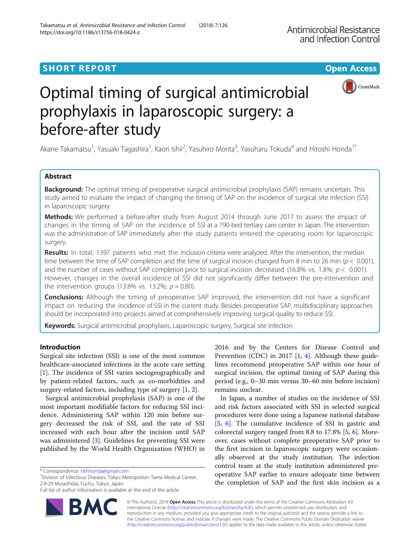# **SHORT REPORT SHORT CONSUMING THE CONSUMING THE CONSUMING THE CONSUMING THE CONSUMING THE CONSUMING THE CONSUMING THE CONSUMING THE CONSUMING THE CONSUMING THE CONSUMING THE CONSUMING THE CONSUMING THE CONSUMING THE CONS**



# Optimal timing of surgical antimicrobial prophylaxis in laparoscopic surgery: a before-after study

Akane Takamatsu<sup>1</sup>, Yasuaki Tagashira<sup>1</sup>, Kaori Ishii<sup>2</sup>, Yasuhiro Morita<sup>3</sup>, Yasuharu Tokuda<sup>4</sup> and Hitoshi Honda<sup>1\*</sup>

# Abstract

**Background:** The optimal timing of preoperative surgical antimicrobial prophylaxis (SAP) remains uncertain. This study aimed to evaluate the impact of changing the timing of SAP on the incidence of surgical site infection (SSI) in laparoscopic surgery.

Methods: We performed a before-after study from August 2014 through June 2017 to assess the impact of changes in the timing of SAP on the incidence of SSI at a 790-bed tertiary care center in Japan. The intervention was the administration of SAP immediately after the study patients entered the operating room for laparoscopic surgery.

Results: In total, 1397 patients who met the inclusion criteria were analyzed. After the intervention, the median time between the time of SAP completion and the time of surgical incision changed from 8 min to 26 min ( $p < 0.001$ ), and the number of cases without SAP completion prior to surgical incision decreased (16.8% vs. 1.8%;  $p < 0.001$ ). However, changes in the overall incidence of SSI did not significantly differ between the pre-intervention and the intervention groups (13.8% vs. 13.2%;  $p = 0.80$ ).

**Conclusions:** Although the timing of preoperative SAP improved, the intervention did not have a significant impact on reducing the incidence of SSI in the current study. Besides preoperative SAP, multidisciplinary approaches should be incorporated into projects aimed at comprehensively improving surgical quality to reduce SSI.

Keywords: Surgical antimicrobial prophylaxis, Laparoscopic surgery, Surgical site infection

# Introduction

Surgical site infection (SSI) is one of the most common healthcare-associated infections in the acute care setting [[1\]](#page-6-0). The incidence of SSI varies sociogeographically and by patient-related factors, such as co-morbidities and surgery-related factors, including type of surgery [[1,](#page-6-0) [2\]](#page-6-0).

Surgical antimicrobial prophylaxis (SAP) is one of the most important modifiable factors for reducing SSI incidence. Administering SAP within 120 min before surgery decreased the risk of SSI, and the rate of SSI increased with each hour after the incision until SAP was administered [[3\]](#page-6-0). Guidelines for preventing SSI were published by the World Health Organization (WHO) in

<sup>1</sup> Division of Infectious Diseases, Tokyo Metropolitan Tama Medical Center, 2-8-29 Musashidai, Fuchu, Tokyo, Japan

Full list of author information is available at the end of the article



2016 and by the Centers for Disease Control and Prevention (CDC) in 2017  $[1, 4]$  $[1, 4]$  $[1, 4]$  $[1, 4]$ . Although these guidelines recommend preoperative SAP within one hour of surgical incision, the optimal timing of SAP during this period (e.g., 0–30 min versus 30–60 min before incision) remains unclear.

In Japan, a number of studies on the incidence of SSI and risk factors associated with SSI in selected surgical procedures were done using a Japanese national database [[5,](#page-6-0) [6\]](#page-6-0). The cumulative incidence of SSI in gastric and colorectal surgery ranged from 8.8 to 17.8% [[5,](#page-6-0) [6\]](#page-6-0). Moreover, cases without complete preoperative SAP prior to the first incision in laparoscopic surgery were occasionally observed at the study institution. The infection control team at the study institution administered preoperative SAP earlier to ensure adequate time between the completion of SAP and the first skin incision as a

© The Author(s). 2018 Open Access This article is distributed under the terms of the Creative Commons Attribution 4.0 International License [\(http://creativecommons.org/licenses/by/4.0/](http://creativecommons.org/licenses/by/4.0/)), which permits unrestricted use, distribution, and reproduction in any medium, provided you give appropriate credit to the original author(s) and the source, provide a link to the Creative Commons license, and indicate if changes were made. The Creative Commons Public Domain Dedication waiver [\(http://creativecommons.org/publicdomain/zero/1.0/](http://creativecommons.org/publicdomain/zero/1.0/)) applies to the data made available in this article, unless otherwise stated.

<sup>\*</sup> Correspondence: [hhhhonda@gmail.com](mailto:hhhhonda@gmail.com) <sup>1</sup>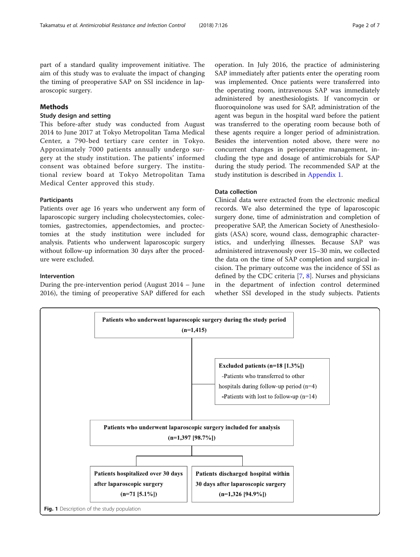<span id="page-1-0"></span>part of a standard quality improvement initiative. The aim of this study was to evaluate the impact of changing the timing of preoperative SAP on SSI incidence in laparoscopic surgery.

# Methods

# Study design and setting

This before-after study was conducted from August 2014 to June 2017 at Tokyo Metropolitan Tama Medical Center, a 790-bed tertiary care center in Tokyo. Approximately 7000 patients annually undergo surgery at the study institution. The patients' informed consent was obtained before surgery. The institutional review board at Tokyo Metropolitan Tama Medical Center approved this study.

### Participants

Patients over age 16 years who underwent any form of laparoscopic surgery including cholecystectomies, colectomies, gastrectomies, appendectomies, and proctectomies at the study institution were included for analysis. Patients who underwent laparoscopic surgery without follow-up information 30 days after the procedure were excluded.

#### Intervention

During the pre-intervention period (August 2014 – June 2016), the timing of preoperative SAP differed for each operation. In July 2016, the practice of administering SAP immediately after patients enter the operating room was implemented. Once patients were transferred into the operating room, intravenous SAP was immediately administered by anesthesiologists. If vancomycin or fluoroquinolone was used for SAP, administration of the agent was begun in the hospital ward before the patient was transferred to the operating room because both of these agents require a longer period of administration. Besides the intervention noted above, there were no concurrent changes in perioperative management, including the type and dosage of antimicrobials for SAP during the study period. The recommended SAP at the study institution is described in [Appendix 1](#page-4-0).

# Data collection

Clinical data were extracted from the electronic medical records. We also determined the type of laparoscopic surgery done, time of administration and completion of preoperative SAP, the American Society of Anesthesiologists (ASA) score, wound class, demographic characteristics, and underlying illnesses. Because SAP was administered intravenously over 15–30 min, we collected the data on the time of SAP completion and surgical incision. The primary outcome was the incidence of SSI as defined by the CDC criteria [\[7](#page-6-0), [8](#page-6-0)]. Nurses and physicians in the department of infection control determined whether SSI developed in the study subjects. Patients

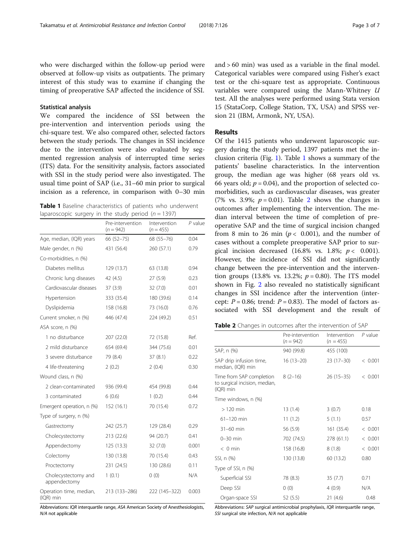<span id="page-2-0"></span>who were discharged within the follow-up period were observed at follow-up visits as outpatients. The primary interest of this study was to examine if changing the timing of preoperative SAP affected the incidence of SSI.

#### Statistical analysis

We compared the incidence of SSI between the pre-intervention and intervention periods using the chi-square test. We also compared other, selected factors between the study periods. The changes in SSI incidence due to the intervention were also evaluated by segmented regression analysis of interrupted time series (ITS) data. For the sensitivity analysis, factors associated with SSI in the study period were also investigated. The usual time point of SAP (i.e., 31–60 min prior to surgical incision as a reference, in comparison with 0–30 min

Table 1 Baseline characteristics of patients who underwent laparoscopic surgery in the study period ( $n = 1397$ )

|                                      | Pre-intervention<br>$(n = 942)$ | Intervention<br>$(n = 455)$ | P value |
|--------------------------------------|---------------------------------|-----------------------------|---------|
| Age, median, (IQR) years             | 66 (52-75)                      | 68 (55-76)                  | 0.04    |
| Male gender, n (%)                   | 431 (56.4)                      | 260 (57.1)                  | 0.79    |
| Co-morbidities, n (%)                |                                 |                             |         |
| Diabetes mellitus                    | 129 (13.7)                      | 63 (13.8)                   | 0.94    |
| Chronic lung diseases                | 42 (4.5)                        | 27(5.9)                     | 0.23    |
| Cardiovascular diseases              | 37(3.9)                         | 32(7.0)                     | 0.01    |
| Hypertension                         | 333 (35.4)                      | 180 (39.6)                  | 0.14    |
| Dyslipidemia                         | 158 (16.8)                      | 73 (16.0)                   | 0.76    |
| Current smoker, n (%)                | 446 (47.4)                      | 224 (49.2)                  | 0.51    |
| ASA score, n (%)                     |                                 |                             |         |
| 1 no disturbance                     | 207 (22.0)                      | 72 (15.8)                   | Ref.    |
| 2 mild disturbance                   | 654 (69.4)                      | 344 (75.6)                  | 0.01    |
| 3 severe disturbance                 | 79 (8.4)                        | 37(8.1)                     | 0.22    |
| 4 life-threatening                   | 2(0.2)                          | 2(0.4)                      | 0.30    |
| Wound class, n (%)                   |                                 |                             |         |
| 2 clean-contaminated                 | 936 (99.4)                      | 454 (99.8)                  | 0.44    |
| 3 contaminated                       | 6(0.6)                          | 1(0.2)                      | 0.44    |
| Emergent operation, n (%)            | 152 (16.1)                      | 70 (15.4)                   | 0.72    |
| Type of surgery, n (%)               |                                 |                             |         |
| Gastrectomy                          | 242 (25.7)                      | 129 (28.4)                  | 0.29    |
| Cholecystectomy                      | 213 (22.6)                      | 94 (20.7)                   | 0.41    |
| Appendectomy                         | 125 (13.3)                      | 32(7.0)                     | 0.001   |
| Colectomy                            | 130 (13.8)                      | 70 (15.4)                   | 0.43    |
| Proctectomy                          | 231 (24.5)                      | 130 (28.6)                  | 0.11    |
| Cholecystectomy and<br>appendectomy  | 1(0.1)                          | 0(0)                        | N/A     |
| Operation time, median,<br>(IQR) min | 213 (133-286)                   | 222 (145-322)               | 0.003   |

Abbreviations: IQR interquartile range, ASA American Society of Anesthesiologists, N/A not applicable

and > 60 min) was used as a variable in the final model. Categorical variables were compared using Fisher's exact test or the chi-square test as appropriate. Continuous variables were compared using the Mann-Whitney U test. All the analyses were performed using Stata version 15 (StataCorp, College Station, TX, USA) and SPSS version 21 (IBM, Armonk, NY, USA).

#### Results

Of the 1415 patients who underwent laparoscopic surgery during the study period, 1397 patients met the inclusion criteria (Fig. [1](#page-1-0)). Table 1 shows a summary of the patients' baseline characteristics. In the intervention group, the median age was higher (68 years old vs. 66 years old;  $p = 0.04$ ), and the proportion of selected comorbidities, such as cardiovascular diseases, was greater (7% vs. 3.9%;  $p = 0.01$ ). Table 2 shows the changes in outcomes after implementing the intervention. The median interval between the time of completion of preoperative SAP and the time of surgical incision changed from 8 min to 26 min ( $p < 0.001$ ), and the number of cases without a complete preoperative SAP prior to surgical incision decreased  $(16.8\% \text{ vs. } 1.8\%; p < 0.001).$ However, the incidence of SSI did not significantly change between the pre-intervention and the intervention groups (13.8% vs. 13.2%;  $p = 0.80$ ). The ITS model shown in Fig. [2](#page-3-0) also revealed no statistically significant changes in SSI incidence after the intervention (intercept:  $P = 0.86$ ; trend:  $P = 0.83$ ). The model of factors associated with SSI development and the result of

|  |  |  |  | Table 2 Changes in outcomes after the intervention of SAP |  |
|--|--|--|--|-----------------------------------------------------------|--|
|--|--|--|--|-----------------------------------------------------------|--|

|                                                                                  | Pre-intervention<br>$(n = 942)$ | Intervention<br>$(n = 455)$ | $P$ value |
|----------------------------------------------------------------------------------|---------------------------------|-----------------------------|-----------|
| SAP, n (%)                                                                       | 940 (99.8)                      | 455 (100)                   |           |
| SAP drip infusion time,<br>median, (IQR) min                                     | $16(13-20)$                     | $23(17-30)$                 | < 0.001   |
| Time from SAP completion $8(2-16)$<br>to surgical incision, median,<br>(IQR) min |                                 | $26(15-35)$                 | < 0.001   |
| Time windows, n (%)                                                              |                                 |                             |           |
| $>120$ min                                                                       | 13(1.4)                         | 3(0.7)                      | 0.18      |
| $61 - 120$ min                                                                   | 11(1.2)                         | 5(1.1)                      | 0.57      |
| $31-60$ min                                                                      | 56 (5.9)                        | 161(35.4)                   | < 0.001   |
| $0 - 30$ min                                                                     | 702 (74.5)                      | 278 (61.1)                  | < 0.001   |
| $< 0$ min                                                                        | 158 (16.8)                      | 8(1.8)                      | < 0.001   |
| SSI, n (%)                                                                       | 130 (13.8)                      | 60 (13.2)                   | 0.80      |
| Type of SSI, n (%)                                                               |                                 |                             |           |
| Superficial SSI                                                                  | 78 (8.3)                        | 35(7.7)                     | 0.71      |
| Deep SSI                                                                         | 0(0)                            | 4(0.9)                      | N/A       |
| Organ-space SSI                                                                  | 52(5.5)                         | 21(4.6)                     | 0.48      |

Abbreviations: SAP surgical antimicrobial prophylaxis, IQR interquartile range, SSI surgical site infection, N/A not applicable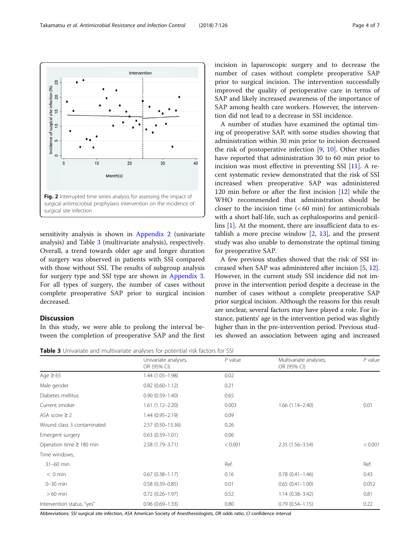sensitivity analysis is shown in [Appendix 2](#page-4-0) (univariate analysis) and Table 3 (multivariate analysis), respectively. Overall, a trend towards older age and longer duration of surgery was observed in patients with SSI compared with those without SSI. The results of subgroup analysis for surgery type and SSI type are shown in [Appendix 3](#page-4-0). For all types of surgery, the number of cases without complete preoperative SAP prior to surgical incision decreased.

# Discussion

In this study, we were able to prolong the interval between the completion of preoperative SAP and the first incision in laparoscopic surgery and to decrease the number of cases without complete preoperative SAP prior to surgical incision. The intervention successfully improved the quality of perioperative care in terms of SAP and likely increased awareness of the importance of SAP among health care workers. However, the intervention did not lead to a decrease in SSI incidence.

A number of studies have examined the optimal timing of preoperative SAP, with some studies showing that administration within 30 min prior to incision decreased the risk of postoperative infection [[9,](#page-6-0) [10](#page-6-0)]. Other studies have reported that administration 30 to 60 min prior to incision was most effective in preventing SSI [[11\]](#page-6-0). A recent systematic review demonstrated that the risk of SSI increased when preoperative SAP was administered 120 min before or after the first incision [\[12](#page-6-0)] while the WHO recommended that administration should be closer to the incision time  $( $60 \text{ min}$ )$  for antimicrobials with a short half-life, such as cephalosporins and penicillins [\[1](#page-6-0)]. At the moment, there are insufficient data to establish a more precise window  $[2, 13]$  $[2, 13]$  $[2, 13]$  $[2, 13]$ , and the present study was also unable to demonstrate the optimal timing for preoperative SAP.

A few previous studies showed that the risk of SSI increased when SAP was administered after incision [[5,](#page-6-0) [12](#page-6-0)]. However, in the current study SSI incidence did not improve in the intervention period despite a decrease in the number of cases without a complete preoperative SAP prior surgical incision. Although the reasons for this result are unclear, several factors may have played a role. For instance, patients' age in the intervention period was slightly higher than in the pre-intervention period. Previous studies showed an association between aging and increased

Table 3 Univariate and multivariate analyses for potential risk factors for SSI

|                               | Univariate analyses,<br>OR (95% CI) | $P$ value | Multivariate analyses,<br>OR (95% CI) | $P$ value |
|-------------------------------|-------------------------------------|-----------|---------------------------------------|-----------|
| Age $\geq 65$                 | 1.44 (1.05-1.98)                    | 0.02      |                                       |           |
| Male gender                   | $0.82(0.60 - 1.12)$                 | 0.21      |                                       |           |
| Diabetes mellitus             | $0.90(0.59 - 1.40)$                 | 0.65      |                                       |           |
| Current smoker                | $1.61(1.12 - 2.20)$                 | 0.003     | $1.66(1.14 - 2.40)$                   | 0.01      |
| ASA score $\geq$ 2            | $1.44(0.95 - 2.19)$                 | 0.09      |                                       |           |
| Wound class 3 contaminated    | 2.57 (0.50-13.36)                   | 0.26      |                                       |           |
| Emergent surgery              | $0.63(0.39 - 1.01)$                 | 0.06      |                                       |           |
| Operation time $\geq$ 180 min | 2.58 (1.79-3.71)                    | < 0.001   | $2.35(1.56 - 3.54)$                   | < 0.001   |
| Time windows,                 |                                     |           |                                       |           |
| 31-60 min                     |                                     | Ref.      |                                       | Ref.      |
| $< 0$ min                     | $0.67(0.38 - 1.17)$                 | 0.16      | $0.78(0.41 - 1.46)$                   | 0.43      |
| $0-30$ min                    | $0.58(0.39 - 0.85)$                 | 0.01      | $0.65(0.41 - 1.00)$                   | 0.052     |
| $>60$ min                     | $0.72(0.26 - 1.97)$                 | 0.52      | $1.14(0.38 - 3.42)$                   | 0.81      |
| Intervention status, "yes"    | $0.96(0.69 - 1.33)$                 | 0.80      | $0.79(0.54 - 1.15)$                   | 0.22      |

Abbreviations: SSI surgical site infection, ASA American Society of Anesthesiologists, OR odds ratio, CI confidence interval

<span id="page-3-0"></span>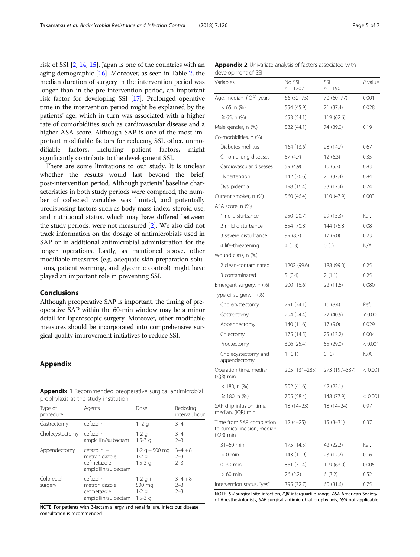<span id="page-4-0"></span>risk of SSI [\[2,](#page-6-0) [14](#page-6-0), [15\]](#page-6-0). Japan is one of the countries with an aging demographic [\[16\]](#page-6-0). Moreover, as seen in Table [2,](#page-2-0) the median duration of surgery in the intervention period was longer than in the pre-intervention period, an important risk factor for developing SSI [[17](#page-6-0)]. Prolonged operative time in the intervention period might be explained by the patients' age, which in turn was associated with a higher rate of comorbidities such as cardiovascular disease and a higher ASA score. Although SAP is one of the most important modifiable factors for reducing SSI, other, unmodifiable factors, including patient factors, might significantly contribute to the development SSI.

There are some limitations to our study. It is unclear whether the results would last beyond the brief, post-intervention period. Although patients' baseline characteristics in both study periods were compared, the number of collected variables was limited, and potentially predisposing factors such as body mass index, steroid use, and nutritional status, which may have differed between the study periods, were not measured [\[2](#page-6-0)]. We also did not track information on the dosage of antimicrobials used in SAP or in additional antimicrobial administration for the longer operations. Lastly, as mentioned above, other modifiable measures (e.g. adequate skin preparation solutions, patient warming, and glycemic control) might have played an important role in preventing SSI.

#### Conclusions

Although preoperative SAP is important, the timing of preoperative SAP within the 60-min window may be a minor detail for laparoscopic surgery. Moreover, other modifiable measures should be incorporated into comprehensive surgical quality improvement initiatives to reduce SSI.

# Appendix

Appendix 1 Recommended preoperative surgical antimicrobial prophylaxis at the study institution

| Type of<br>procedure  | Agents                                                                | Dose                                         | Redosing<br>interval, hour        |
|-----------------------|-----------------------------------------------------------------------|----------------------------------------------|-----------------------------------|
| Gastrectomy           | cefazolin                                                             | $1 - 2q$                                     | $3 - 4$                           |
| Cholecystectomy       | cefazolin<br>ampicillin/sulbactam                                     | $1-2q$<br>$1.5 - 3q$                         | $3 - 4$<br>$2 - 3$                |
| Appendectomy          | $cefazolin +$<br>metronidazole<br>cefmetazole<br>ampicillin/sulbactam | 1-2 $q + 500$ mg<br>$1-2q$<br>$1.5 - 3q$     | $3 - 4 + 8$<br>$2 - 3$<br>$2 - 3$ |
| Colorectal<br>surgery | $cefazolin +$<br>metronidazole<br>cefmetazole<br>ampicillin/sulbactam | $1 - 2q +$<br>500 mg<br>$1-2q$<br>$1.5 - 3q$ | $3 - 4 + 8$<br>$2 - 3$<br>$2 - 3$ |

NOTE. For patients with β-lactam allergy and renal failure, infectious disease consultation is recommended

| <b>Appendix 2</b> Univariate analysis of factors associated with |  |  |  |
|------------------------------------------------------------------|--|--|--|
| development of SSI                                               |  |  |  |

| acveiupment or sor                                                     |                      |                  |           |
|------------------------------------------------------------------------|----------------------|------------------|-----------|
| Variables                                                              | No SSI<br>$n = 1207$ | SSI<br>$n = 190$ | $P$ value |
| Age, median, (IQR) years                                               | 66 (52-75)           | 70 (60-77)       | 0.001     |
| $<$ 65, n $(\%)$                                                       | 554 (45.9)           | 71 (37.4)        | 0.028     |
| $≥ 65$ , n (%)                                                         | 653 (54.1)           | 119 (62.6)       |           |
| Male gender, n (%)                                                     | 532 (44.1)           | 74 (39.0)        | 0.19      |
| Co-morbidities, n (%)                                                  |                      |                  |           |
| Diabetes mellitus                                                      | 164 (13.6)           | 28 (14.7)        | 0.67      |
| Chronic lung diseases                                                  | 57 (4.7)             | 12(6.3)          | 0.35      |
| Cardiovascular diseases                                                | 59 (4.9)             | 10(5.3)          | 0.83      |
| Hypertension                                                           | 442 (36.6)           | 71 (37.4)        | 0.84      |
| Dyslipidemia                                                           | 198 (16.4)           | 33 (17.4)        | 0.74      |
| Current smoker, n (%)                                                  | 560 (46.4)           | 110 (47.9)       | 0.003     |
| ASA score, n (%)                                                       |                      |                  |           |
| 1 no disturbance                                                       | 250 (20.7)           | 29 (15.3)        | Ref.      |
| 2 mild disturbance                                                     | 854 (70.8)           | 144 (75.8)       | 0.08      |
| 3 severe disturbance                                                   | 99 (8.2)             | 17(9.0)          | 0.23      |
| 4 life-threatening                                                     | 4(0.3)               | 0(0)             | N/A       |
| Wound class, n (%)                                                     |                      |                  |           |
| 2 clean-contaminated                                                   | 1202 (99.6)          | 188 (99.0)       | 0.25      |
| 3 contaminated                                                         | 5(0.4)               | 2(1.1)           | 0.25      |
| Emergent surgery, n (%)                                                | 200 (16.6)           | 22 (11.6)        | 0.080     |
| Type of surgery, n (%)                                                 |                      |                  |           |
| Cholecystectomy                                                        | 291 (24.1)           | 16(8.4)          | Ref.      |
| Gastrectomy                                                            | 294 (24.4)           | 77 (40.5)        | < 0.001   |
| Appendectomy                                                           | 140 (11.6)           | 17(9.0)          | 0.029     |
| Colectomy                                                              | 175 (14.5)           | 25 (13.2)        | 0.004     |
| Proctectomy                                                            | 306 (25.4)           | 55 (29.0)        | < 0.001   |
| Cholecystectomy and<br>appendectomy                                    | 1(0.1)               | 0(0)             | N/A       |
| Operation time, median,<br>(IQR) min                                   | 205 (131–285)        | 273 (197–337)    | < 0.001   |
| < 180, n (%)                                                           | 502 (41.6)           | 42 (22.1)        |           |
| ≥ 180, n (%)                                                           | 705 (58.4)           | 148 (77.9)       | < 0.001   |
| SAP drip infusion time,<br>median, (IQR) min                           | 18 (14–23)           | 18 (14–24)       | 0.97      |
| Time from SAP completion<br>to surgical incision, median,<br>(IQR) min | $12(4-25)$           | $15(3-31)$       | 0.37      |
| 31-60 min                                                              | 175 (14.5)           | 42 (22.2)        | Ref.      |
| $< 0$ min                                                              | 143 (11.9)           | 23 (12.2)        | 0.16      |
| $0-30$ min                                                             | 861 (71.4)           | 119 (63.0)       | 0.005     |
| $>60$ min                                                              | 26(2.2)              | 6(3.2)           | 0.52      |
| Intervention status, "yes"                                             | 395 (32.7)           | 60 (31.6)        | 0.75      |

NOTE. SSI surgical site infection, IQR interquartile range, ASA American Society of Anesthesiologists, SAP surgical antimicrobial prophylaxis, N/A not applicable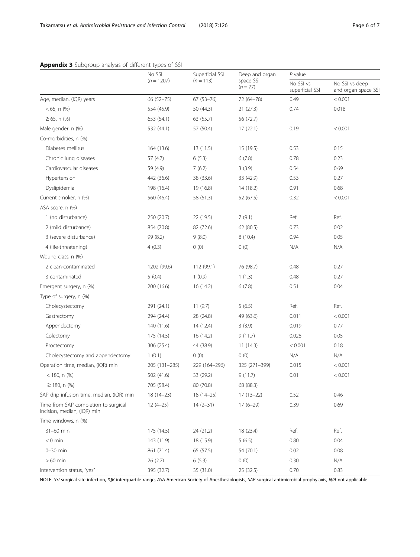| Appendix 3 Subgroup analysis of different types of SSI |
|--------------------------------------------------------|
|--------------------------------------------------------|

|                                                                     | No SSI<br>$(n = 1207)$ | Superficial SSI<br>$(n = 113)$ | Deep and organ<br>space SSI<br>$(n = 77)$ | $P$ value                    |                                      |
|---------------------------------------------------------------------|------------------------|--------------------------------|-------------------------------------------|------------------------------|--------------------------------------|
|                                                                     |                        |                                |                                           | No SSI vs<br>superficial SSI | No SSI vs deep<br>and organ space SS |
| Age, median, (IQR) years                                            | 66 (52-75)             | $67(53 - 76)$                  | 72 (64-78)                                | 0.49                         | < 0.001                              |
| $< 65$ , n $(\%)$                                                   | 554 (45.9)             | 50 (44.3)                      | 21(27.3)                                  | 0.74                         | 0.018                                |
| $≥ 65$ , n $%$                                                      | 653 (54.1)             | 63 (55.7)                      | 56 (72.7)                                 |                              |                                      |
| Male gender, n (%)                                                  | 532 (44.1)             | 57 (50.4)                      | 17(22.1)                                  | 0.19                         | < 0.001                              |
| Co-morbidities, n (%)                                               |                        |                                |                                           |                              |                                      |
| Diabetes mellitus                                                   | 164 (13.6)             | 13(11.5)                       | 15 (19.5)                                 | 0.53                         | 0.15                                 |
| Chronic lung diseases                                               | 57(4.7)                | 6(5.3)                         | 6(7.8)                                    | 0.78                         | 0.23                                 |
| Cardiovascular diseases                                             | 59 (4.9)               | 7(6.2)                         | 3(3.9)                                    | 0.54                         | 0.69                                 |
| Hypertension                                                        | 442 (36.6)             | 38 (33.6)                      | 33 (42.9)                                 | 0.53                         | 0.27                                 |
| Dyslipidemia                                                        | 198 (16.4)             | 19 (16.8)                      | 14 (18.2)                                 | 0.91                         | 0.68                                 |
| Current smoker, n (%)                                               | 560 (46.4)             | 58 (51.3)                      | 52 (67.5)                                 | 0.32                         | < 0.001                              |
| ASA score, n (%)                                                    |                        |                                |                                           |                              |                                      |
| 1 (no disturbance)                                                  | 250 (20.7)             | 22 (19.5)                      | 7(9.1)                                    | Ref.                         | Ref.                                 |
| 2 (mild disturbance)                                                | 854 (70.8)             | 82 (72.6)                      | 62 (80.5)                                 | 0.73                         | 0.02                                 |
| 3 (severe disturbance)                                              | 99 (8.2)               | 9(8.0)                         | 8(10.4)                                   | 0.94                         | 0.05                                 |
| 4 (life-threatening)                                                | 4(0.3)                 | 0(0)                           | 0(0)                                      | N/A                          | N/A                                  |
| Wound class, n (%)                                                  |                        |                                |                                           |                              |                                      |
| 2 clean-contaminated                                                | 1202 (99.6)            | 112 (99.1)                     | 76 (98.7)                                 | 0.48                         | 0.27                                 |
| 3 contaminated                                                      | 5(0.4)                 | 1(0.9)                         | 1(1.3)                                    | 0.48                         | 0.27                                 |
| Emergent surgery, n (%)                                             | 200 (16.6)             | 16 (14.2)                      | 6(7.8)                                    | 0.51                         | 0.04                                 |
| Type of surgery, n (%)                                              |                        |                                |                                           |                              |                                      |
| Cholecystectomy                                                     | 291 (24.1)             | 11(9.7)                        | 5(6.5)                                    | Ref.                         | Ref.                                 |
| Gastrectomy                                                         | 294 (24.4)             | 28 (24.8)                      | 49 (63.6)                                 | 0.011                        | < 0.001                              |
| Appendectomy                                                        | 140 (11.6)             | 14 (12.4)                      | 3(3.9)                                    | 0.019                        | 0.77                                 |
| Colectomy                                                           | 175 (14.5)             | 16 (14.2)                      | 9(11.7)                                   | 0.028                        | 0.05                                 |
| Proctectomy                                                         | 306 (25.4)             | 44 (38.9)                      | 11(14.3)                                  | < 0.001                      | 0.18                                 |
| Cholecystectomy and appendectomy                                    | 1(0.1)                 | 0(0)                           | 0(0)                                      | N/A                          | N/A                                  |
| Operation time, median, (IQR) min                                   | 205 (131-285)          | 229 (164-296)                  | 325 (271-399)                             | 0.015                        | < 0.001                              |
| $<$ 180, n $(\%)$                                                   | 502 (41.6)             | 33 (29.2)                      | 9(11.7)                                   | 0.01                         | < 0.001                              |
| $\geq$ 180. n (%)                                                   | 705 (58.4)             | 80 (70.8)                      | 68 (88.3)                                 |                              |                                      |
| SAP drip infusion time, median, (IQR) min                           | $18(14-23)$            | $18(14-25)$                    | $17(13-22)$                               | 0.52                         | 0.46                                 |
| Time from SAP completion to surgical<br>incision, median, (IQR) min | $12(4-25)$             | $14(2-31)$                     | $17(6-29)$                                | 0.39                         | 0.69                                 |
| Time windows, n (%)                                                 |                        |                                |                                           |                              |                                      |
| 31-60 min                                                           | 175 (14.5)             | 24 (21.2)                      | 18 (23.4)                                 | Ref.                         | Ref.                                 |
| $< 0$ min                                                           | 143 (11.9)             | 18 (15.9)                      | 5(6.5)                                    | 0.80                         | 0.04                                 |
| $0-30$ min                                                          | 861 (71.4)             | 65 (57.5)                      | 54 (70.1)                                 | 0.02                         | 0.08                                 |
| $>60$ min                                                           | 26(2.2)                | 6(5.3)                         | 0(0)                                      | 0.30                         | N/A                                  |
| Intervention status, "yes"                                          | 395 (32.7)             | 35 (31.0)                      | 25 (32.5)                                 | 0.70                         | 0.83                                 |

NOTE. SSI surgical site infection, IQR interquartile range, ASA American Society of Anesthesiologists, SAP surgical antimicrobial prophylaxis, N/A not applicable